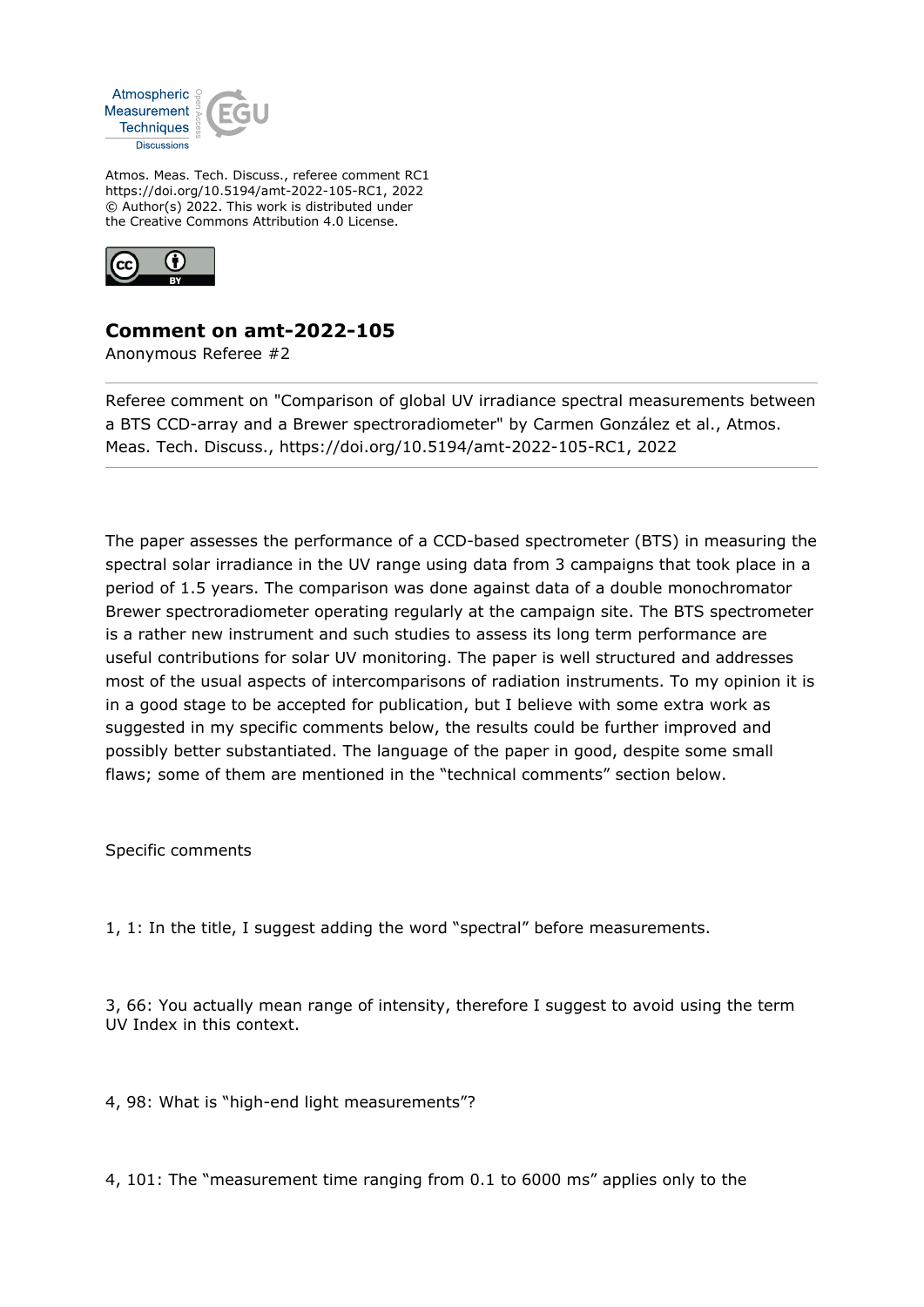

Atmos. Meas. Tech. Discuss., referee comment RC1 https://doi.org/10.5194/amt-2022-105-RC1, 2022 © Author(s) 2022. This work is distributed under the Creative Commons Attribution 4.0 License.



## **Comment on amt-2022-105**

Anonymous Referee #2

Referee comment on "Comparison of global UV irradiance spectral measurements between a BTS CCD-array and a Brewer spectroradiometer" by Carmen González et al., Atmos. Meas. Tech. Discuss., https://doi.org/10.5194/amt-2022-105-RC1, 2022

The paper assesses the performance of a CCD-based spectrometer (BTS) in measuring the spectral solar irradiance in the UV range using data from 3 campaigns that took place in a period of 1.5 years. The comparison was done against data of a double monochromator Brewer spectroradiometer operating regularly at the campaign site. The BTS spectrometer is a rather new instrument and such studies to assess its long term performance are useful contributions for solar UV monitoring. The paper is well structured and addresses most of the usual aspects of intercomparisons of radiation instruments. To my opinion it is in a good stage to be accepted for publication, but I believe with some extra work as suggested in my specific comments below, the results could be further improved and possibly better substantiated. The language of the paper in good, despite some small flaws; some of them are mentioned in the "technical comments" section below.

Specific comments

1, 1: In the title, I suggest adding the word "spectral" before measurements.

3, 66: You actually mean range of intensity, therefore I suggest to avoid using the term UV Index in this context.

4, 98: What is "high-end light measurements"?

4, 101: The "measurement time ranging from 0.1 to 6000 ms" applies only to the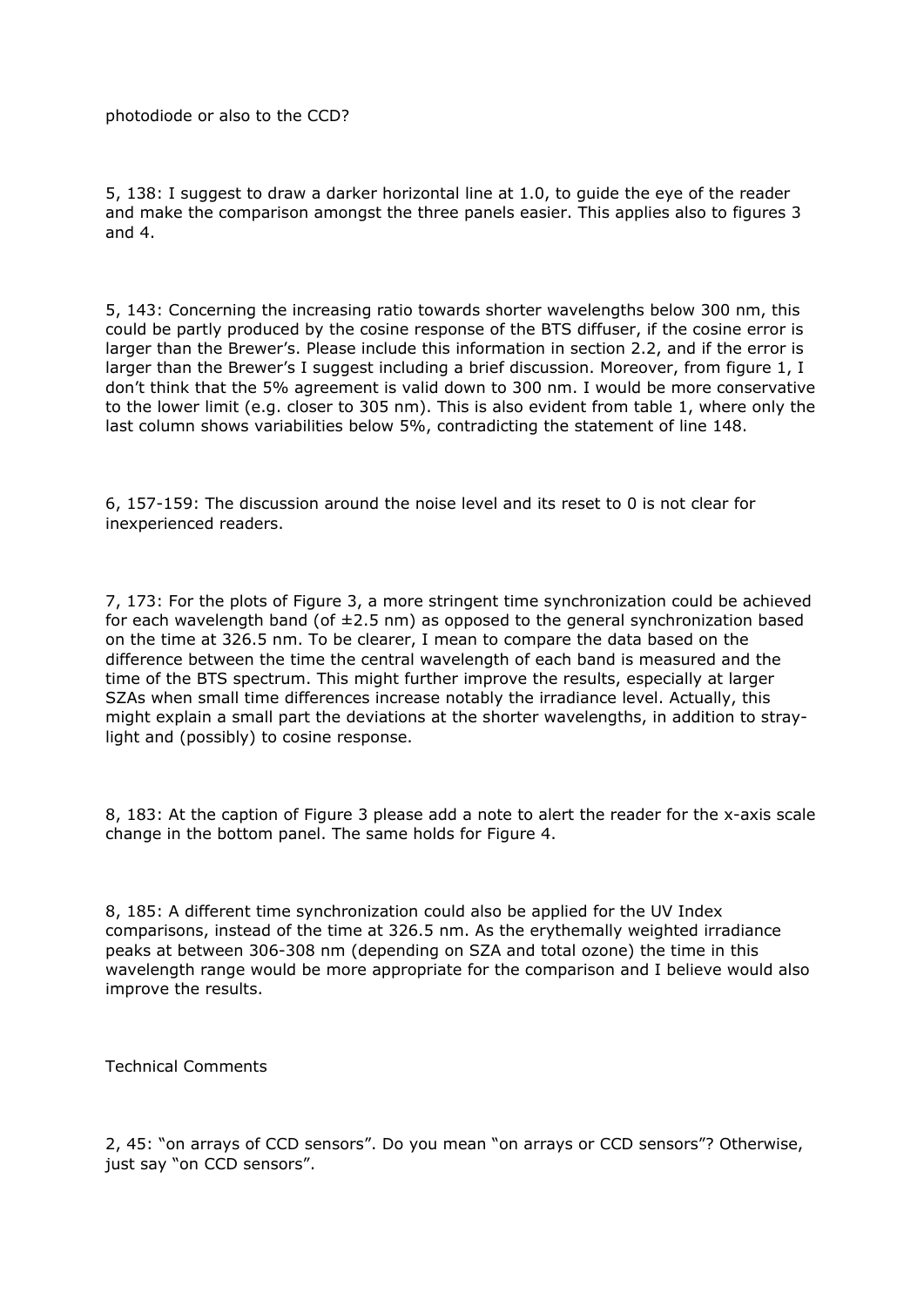photodiode or also to the CCD?

5, 138: I suggest to draw a darker horizontal line at 1.0, to guide the eye of the reader and make the comparison amongst the three panels easier. This applies also to figures 3 and 4.

5, 143: Concerning the increasing ratio towards shorter wavelengths below 300 nm, this could be partly produced by the cosine response of the BTS diffuser, if the cosine error is larger than the Brewer's. Please include this information in section 2.2, and if the error is larger than the Brewer's I suggest including a brief discussion. Moreover, from figure 1, I don't think that the 5% agreement is valid down to 300 nm. I would be more conservative to the lower limit (e.g. closer to 305 nm). This is also evident from table 1, where only the last column shows variabilities below 5%, contradicting the statement of line 148.

6, 157-159: The discussion around the noise level and its reset to 0 is not clear for inexperienced readers.

7, 173: For the plots of Figure 3, a more stringent time synchronization could be achieved for each wavelength band (of  $\pm 2.5$  nm) as opposed to the general synchronization based on the time at 326.5 nm. To be clearer, I mean to compare the data based on the difference between the time the central wavelength of each band is measured and the time of the BTS spectrum. This might further improve the results, especially at larger SZAs when small time differences increase notably the irradiance level. Actually, this might explain a small part the deviations at the shorter wavelengths, in addition to straylight and (possibly) to cosine response.

8, 183: At the caption of Figure 3 please add a note to alert the reader for the x-axis scale change in the bottom panel. The same holds for Figure 4.

8, 185: A different time synchronization could also be applied for the UV Index comparisons, instead of the time at 326.5 nm. As the erythemally weighted irradiance peaks at between 306-308 nm (depending on SZA and total ozone) the time in this wavelength range would be more appropriate for the comparison and I believe would also improve the results.

Technical Comments

2, 45: "on arrays of CCD sensors". Do you mean "on arrays or CCD sensors"? Otherwise, just say "on CCD sensors".